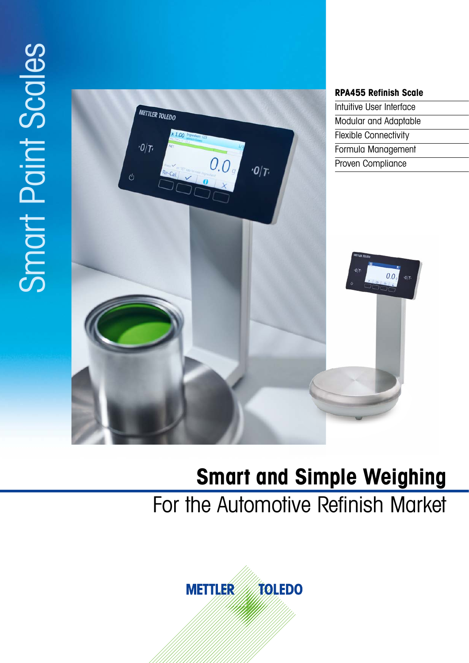# Smart Paint Scales Smart Paint Scales



# **Smart and Simple Weighing**

For the Automotive Refinish Market

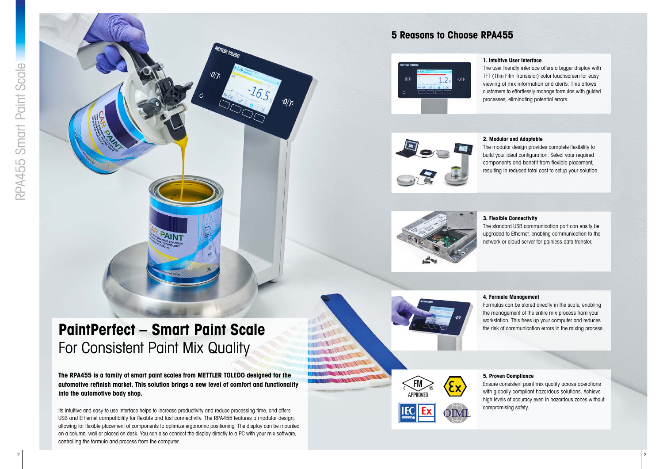# **PaintPerfect – Smart Paint Scale** For Consistent Paint Mix Quality

**The RPA455 is a family of smart paint scales from METTLER TOLEDO designed for the automotive refinish market. This solution brings a new level of comfort and functionality into the automotive body shop.** 

METTLER TOLEDO

<sup>2</sup> <sup>3</sup> RPA455 Smart Paint Scale Its intuitive and easy to use interface helps to increase productivity and reduce processing time, and offers USB and Ethernet compatibility for flexible and fast connectivity. The RPA455 features a modular design, allowing for flexible placement of components to optimize ergonomic positioning. The display can be mounted on a column, wall or placed on desk. You can also connect the display directly to a PC with your mix software, controlling the formula and process from the computer.



# **5 Reasons to Choose RPA455**







#### **5. Proven Compliance**

Ensure consistent paint mix quality across operations with globally compliant hazardous solutions. Achieve high levels of accuracy even in hazardous zones without compromising safety.

#### **1. Intuitive User Interface**

The user friendly interface offers a bigger display with TFT (Thin Film Transistor) color touchscreen for easy viewing of mix information and alerts. This allows customers to effortlessly manage formulas with guided processes, eliminating potential errors.

#### **2. Modular and Adaptable**

The modular design provides complete flexibility to build your ideal configuration. Select your required components and benefit from flexible placement, resulting in reduced total cost to setup your solution.

#### **3. Flexible Connectivity**

The standard USB communication port can easily be upgraded to Ethernet, enabling communication to the network or cloud server for painless data transfer.

**4. Formula Management** Formulas can be stored directly in the scale, enabling the management of the entire mix process from your workstation. This frees up your computer and reduces the risk of communication errors in the mixing process.

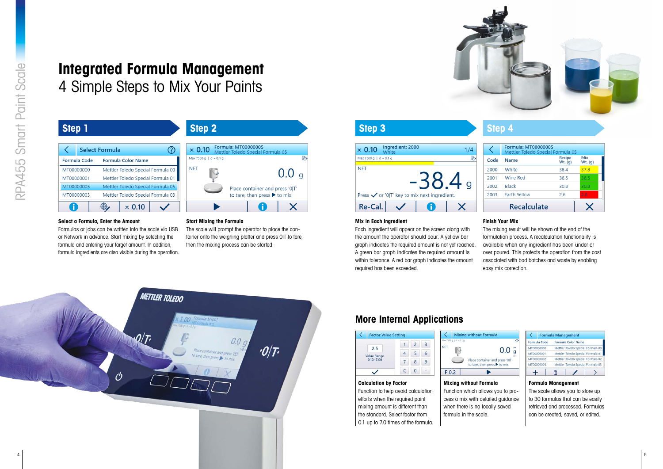

# **Integrated Formula Management** 4 Simple Steps to Mix Your Paints

#### **Select a Formula, Enter the Amount**

Formulas or jobs can be written into the scale via USB or Network in advance. Start mixing by selecting the formula and entering your target amount. In addition, formula ingredients are also visible during the operation.



The scale will prompt the operator to place the container onto the weighing platter and press OIT to tare, then the mixing process can be started.



#### **Mix in Each Ingredient**

Each ingredient will appear on the screen along with the amount the operator should pour. A yellow bar graph indicates the required amount is not yet reached. A green bar graph indicates the required amount is within tolerance. A red bar araph indicates the amount required has been exceeded.

#### **Finish Your Mix**

The mixing result will be shown at the end of the formulation process. A recalculation functionality is available when any ingredient has been under or over poured. This protects the operation from the cost associated with bad batches and waste by enabling easy mix correction.

| Step 1              |                                   | <b>Step 2</b>                                                             | <b>Step 3</b>                                           | <b>Step 4</b> |
|---------------------|-----------------------------------|---------------------------------------------------------------------------|---------------------------------------------------------|---------------|
|                     | $\odot$<br><b>Select Formula</b>  | Formula: MT00000005<br>$\times$ 0.10<br>Mettler Toledo Special Formula 05 | Ingredient: 2000<br>$\times$ 0.10<br>1/4<br>White       | Forr<br>Met   |
| <b>Formula Code</b> | <b>Formula Color Name</b>         | Max 7500 g   $d = 0.1$ g                                                  | 2<br>Max 7500 g   $d = 0.1$ g                           | Code<br>Nan   |
| MT00000000          | Mettler Toledo Special Formula 00 | NET                                                                       | <b>NET</b>                                              | Whi<br>2000   |
| MT00000001          | Mettler Toledo Special Formula 01 | $0.0\;{\rm g}$                                                            | $\mathbf O$                                             | Win<br>2001   |
| MT00000005          | Mettler Toledo Special Formula 05 | Place container and press '0 T'                                           |                                                         | Blac<br>2002  |
| MT00000003          | Mettler Toledo Special Formula 03 | to tare, then press $\blacktriangleright$ to mix.                         | Press $\checkmark$ or '0 T' key to mix next ingredient. | Eart<br>2003  |
|                     | $\bigoplus$<br>$\times$ 0.10      |                                                                           | Re-Cal.                                                 | R             |

#### **Calculation by Factor**

Function to help avoid calculation efforts when the required paint mixing amount is different than the standard. Select factor from 0.1 up to 7.0 times of the formula.

# **Mixing without Formula**

Function which allows you to process a mix with detailed guidance when there is no locally saved formula in the scale.



| <b>Formula: MT00000005</b><br>Mettler Toledo Special Formula 05 |                     |                |
|-----------------------------------------------------------------|---------------------|----------------|
| Name                                                            | Recipe<br>$Wt.$ (q) | Mix<br>Wt. (g) |
| White                                                           | 38.4                | 37.8           |
| Wine Red                                                        | 36.5                | 36.5           |
| <b>Black</b>                                                    | 30.8                | 30.8           |
| Earth Yellow                                                    | 26                  | 2.8            |
| <b>Recalculate</b>                                              |                     |                |



#### **Formula Management**

The scale allows you to store up to 30 formulas that can be easily retrieved and processed. Formulas can be created, saved, or edited.

# **More Internal Applications**



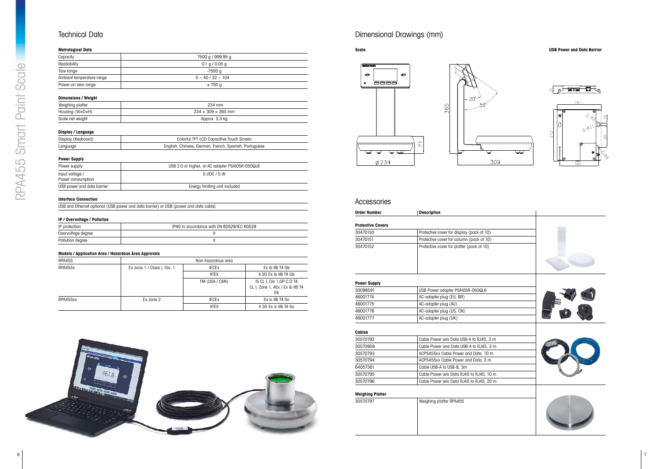

## Technical Data

#### **Metrological Data**

| 7500 g / 999.95 g         |
|---------------------------|
|                           |
|                           |
|                           |
|                           |
|                           |
| $0 \sim 40 / 32 \sim 104$ |

## **Dimensions / Weight**

| .                |                                |
|------------------|--------------------------------|
| Weighing platter | 234 mm                         |
| Housing (W×D×H)  | $234 \times 309 \times 365$ mm |
| Scale net weight | Approx. 3.3 kg                 |

#### **Display / Language**

| Display (Keyboard) | Colorful TFT LCD Capacitive Touch Screen              |
|--------------------|-------------------------------------------------------|
| Language           | English, Chinese, German, French, Spanish, Portuguese |

#### **Power Supply**

| Power supply                         | USB 2.0 or higher, or AC adapter PSAI05R-050QL6 |
|--------------------------------------|-------------------------------------------------|
| Input voltage /<br>Power consumption | 5 VDC / 5 W                                     |
| USB power and data barrier           | Energy limiting unit included                   |

#### **Interface Connection**

| USB and Ethernet optional (USB power and data barrier) or USB (power and data cable) |  |  |  |
|--------------------------------------------------------------------------------------|--|--|--|
|--------------------------------------------------------------------------------------|--|--|--|

#### **IP / Overvoltage / Pollution**

| IP protection      | IP40 in accordance with EN 60529/IEC 60529 |
|--------------------|--------------------------------------------|
| Overvoltage degree |                                            |
| Pollution degree   |                                            |

#### **Models / Application Area / Hazardous Area Approvals**

| <b>RPA455</b> |                             | Non-hazardous area |                                                                      |  |
|---------------|-----------------------------|--------------------|----------------------------------------------------------------------|--|
| RPA455x       | Ex zone 1 / Class I, Div. 1 | <b>IECEX</b>       | Ex ib IIB T4 Gb                                                      |  |
|               |                             | <b>ATEX</b>        | II 2G Ex ib IIB T4 Gb                                                |  |
|               |                             | FM (USA / CAN)     | IS CL I, Div 1, GP C, D T4<br>CL I, Zone 1, AEx / Ex ib IIB T4<br>Gb |  |
| RPA455xx      | Ex zone 2                   | <b>IECEX</b>       | Ex ic IIB T4 Gc                                                      |  |
|               |                             | <b>ATEX</b>        | II 3G Ex ic IIB T4 Gc                                                |  |

### Accessories

| Order Number             | <b>Description</b>                        |  |
|--------------------------|-------------------------------------------|--|
| <b>Protective Covers</b> |                                           |  |
| 30470150                 | Protective cover for display (pack of 10) |  |
| 30470151                 | Protective cover for column (pack of 10)  |  |
| 30470152                 | Protective cover for platter (pack of 10) |  |

#### **Power Supply**

| 30098591 | USB Power adapter PSAI05R-050QL6 |
|----------|----------------------------------|
| 46001774 | AC-adapter plug (EU, BR)         |
| 46001775 | AC-adapter plug (AU)             |
| 46001776 | AC-adapter plug (US, CN)         |
| 46001777 | AC-adapter plug (UK)             |

#### **Cables**

| 30570792 | Cable Power w/o Data USB-A to RJ45, 3 m |
|----------|-----------------------------------------|
| 30570958 | Cable Power and Data USB-A to RJ45, 3 m |
| 30570793 | ACPS455xx Cable Power and Data, 10 m    |
| 30570794 | ACPS455xx Cable Power and Data, 3 m     |
| 64057361 | Cable USB-A to USB-B, 3m                |
| 30570795 | Cable Power w/o Data RJ45 to RJ45, 10 m |
| 30570796 | Cable Power w/o Data RJ45 to RJ45, 20 m |

#### **Weighing Platter**

| 30570797 | Weighing platter RPA455 |
|----------|-------------------------|
|          |                         |
|          |                         |
|          |                         |
|          |                         |

# Dimensional Drawings (mm)





#### **Scale USB Power and Data Barrier**